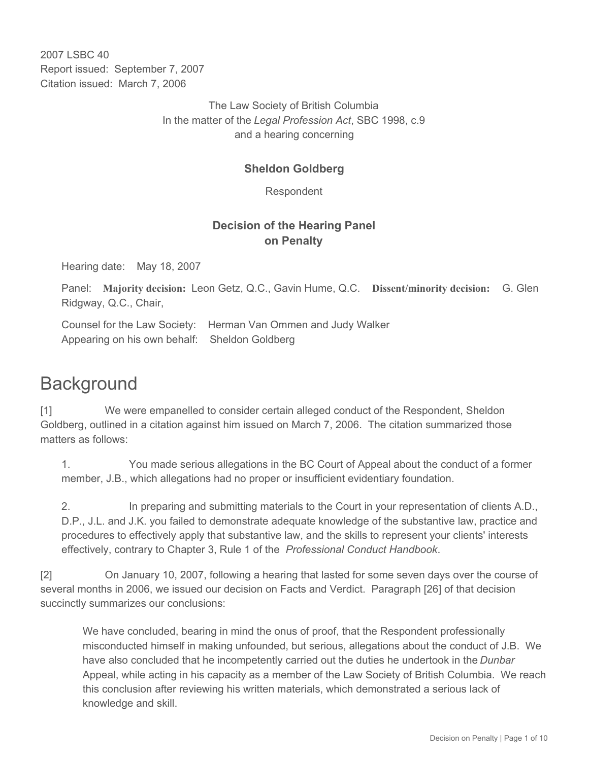2007 LSBC 40 Report issued: September 7, 2007 Citation issued: March 7, 2006

> The Law Society of British Columbia In the matter of the *Legal Profession Act*, SBC 1998, c.9 and a hearing concerning

#### **Sheldon Goldberg**

Respondent

## **Decision of the Hearing Panel on Penalty**

Hearing date: May 18, 2007

Panel: **Majority decision:** Leon Getz, Q.C., Gavin Hume, Q.C. **Dissent/minority decision:** G. Glen Ridgway, Q.C., Chair,

Counsel for the Law Society: Herman Van Ommen and Judy Walker Appearing on his own behalf: Sheldon Goldberg

# **Background**

[1] We were empanelled to consider certain alleged conduct of the Respondent, Sheldon Goldberg, outlined in a citation against him issued on March 7, 2006. The citation summarized those matters as follows:

1. You made serious allegations in the BC Court of Appeal about the conduct of a former member, J.B., which allegations had no proper or insufficient evidentiary foundation.

2. In preparing and submitting materials to the Court in your representation of clients A.D., D.P., J.L. and J.K. you failed to demonstrate adequate knowledge of the substantive law, practice and procedures to effectively apply that substantive law, and the skills to represent your clients' interests effectively, contrary to Chapter 3, Rule 1 of the *Professional Conduct Handbook*.

[2] On January 10, 2007, following a hearing that lasted for some seven days over the course of several months in 2006, we issued our decision on Facts and Verdict. Paragraph [26] of that decision succinctly summarizes our conclusions:

We have concluded, bearing in mind the onus of proof, that the Respondent professionally misconducted himself in making unfounded, but serious, allegations about the conduct of J.B. We have also concluded that he incompetently carried out the duties he undertook in the *Dunbar* Appeal, while acting in his capacity as a member of the Law Society of British Columbia. We reach this conclusion after reviewing his written materials, which demonstrated a serious lack of knowledge and skill.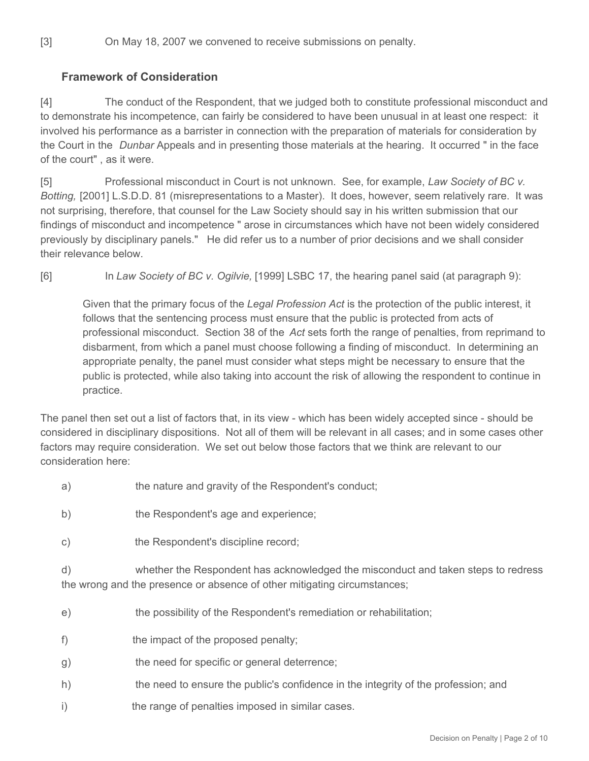# **Framework of Consideration**

[4] The conduct of the Respondent, that we judged both to constitute professional misconduct and to demonstrate his incompetence, can fairly be considered to have been unusual in at least one respect: it involved his performance as a barrister in connection with the preparation of materials for consideration by the Court in the *Dunbar* Appeals and in presenting those materials at the hearing. It occurred " in the face of the court" , as it were.

[5] Professional misconduct in Court is not unknown. See, for example, *Law Society of BC v. Botting,* [2001] L.S.D.D. 81 (misrepresentations to a Master). It does, however, seem relatively rare. It was not surprising, therefore, that counsel for the Law Society should say in his written submission that our findings of misconduct and incompetence " arose in circumstances which have not been widely considered previously by disciplinary panels." He did refer us to a number of prior decisions and we shall consider their relevance below.

[6] In *Law Society of BC v. Ogilvie,* [1999] LSBC 17, the hearing panel said (at paragraph 9):

Given that the primary focus of the *Legal Profession Act* is the protection of the public interest, it follows that the sentencing process must ensure that the public is protected from acts of professional misconduct. Section 38 of the *Act* sets forth the range of penalties, from reprimand to disbarment, from which a panel must choose following a finding of misconduct. In determining an appropriate penalty, the panel must consider what steps might be necessary to ensure that the public is protected, while also taking into account the risk of allowing the respondent to continue in practice.

The panel then set out a list of factors that, in its view - which has been widely accepted since - should be considered in disciplinary dispositions. Not all of them will be relevant in all cases; and in some cases other factors may require consideration. We set out below those factors that we think are relevant to our consideration here:

- a) the nature and gravity of the Respondent's conduct;
- b) the Respondent's age and experience;
- c) the Respondent's discipline record;

d) whether the Respondent has acknowledged the misconduct and taken steps to redress the wrong and the presence or absence of other mitigating circumstances;

- e) the possibility of the Respondent's remediation or rehabilitation;
- f) the impact of the proposed penalty;
- g) the need for specific or general deterrence;
- h) the need to ensure the public's confidence in the integrity of the profession; and
- i) the range of penalties imposed in similar cases.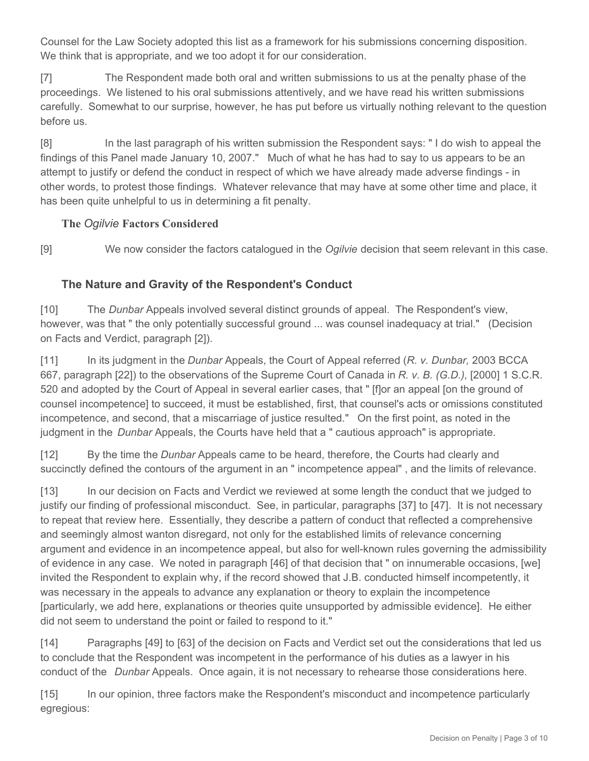Counsel for the Law Society adopted this list as a framework for his submissions concerning disposition. We think that is appropriate, and we too adopt it for our consideration.

[7] The Respondent made both oral and written submissions to us at the penalty phase of the proceedings. We listened to his oral submissions attentively, and we have read his written submissions carefully. Somewhat to our surprise, however, he has put before us virtually nothing relevant to the question before us.

[8] In the last paragraph of his written submission the Respondent says: " I do wish to appeal the findings of this Panel made January 10, 2007." Much of what he has had to say to us appears to be an attempt to justify or defend the conduct in respect of which we have already made adverse findings - in other words, to protest those findings. Whatever relevance that may have at some other time and place, it has been quite unhelpful to us in determining a fit penalty.

#### **The** *Ogilvie* **Factors Considered**

[9] We now consider the factors catalogued in the *Ogilvie* decision that seem relevant in this case.

## **The Nature and Gravity of the Respondent's Conduct**

[10] The *Dunbar* Appeals involved several distinct grounds of appeal. The Respondent's view, however, was that " the only potentially successful ground ... was counsel inadequacy at trial." (Decision on Facts and Verdict, paragraph [2]).

[11] In its judgment in the *Dunbar* Appeals, the Court of Appeal referred (*R. v. Dunbar,* 2003 BCCA 667, paragraph [22]) to the observations of the Supreme Court of Canada in *R. v. B. (G.D.),* [2000] 1 S.C.R. 520 and adopted by the Court of Appeal in several earlier cases, that " [f]or an appeal [on the ground of counsel incompetence] to succeed, it must be established, first, that counsel's acts or omissions constituted incompetence, and second, that a miscarriage of justice resulted." On the first point, as noted in the judgment in the *Dunbar* Appeals, the Courts have held that a " cautious approach" is appropriate.

[12] By the time the *Dunbar* Appeals came to be heard, therefore, the Courts had clearly and succinctly defined the contours of the argument in an " incompetence appeal" , and the limits of relevance.

[13] In our decision on Facts and Verdict we reviewed at some length the conduct that we judged to justify our finding of professional misconduct. See, in particular, paragraphs [37] to [47]. It is not necessary to repeat that review here. Essentially, they describe a pattern of conduct that reflected a comprehensive and seemingly almost wanton disregard, not only for the established limits of relevance concerning argument and evidence in an incompetence appeal, but also for well-known rules governing the admissibility of evidence in any case. We noted in paragraph [46] of that decision that " on innumerable occasions, [we] invited the Respondent to explain why, if the record showed that J.B. conducted himself incompetently, it was necessary in the appeals to advance any explanation or theory to explain the incompetence [particularly, we add here, explanations or theories quite unsupported by admissible evidence]. He either did not seem to understand the point or failed to respond to it."

[14] Paragraphs [49] to [63] of the decision on Facts and Verdict set out the considerations that led us to conclude that the Respondent was incompetent in the performance of his duties as a lawyer in his conduct of the *Dunbar* Appeals. Once again, it is not necessary to rehearse those considerations here.

[15] In our opinion, three factors make the Respondent's misconduct and incompetence particularly egregious: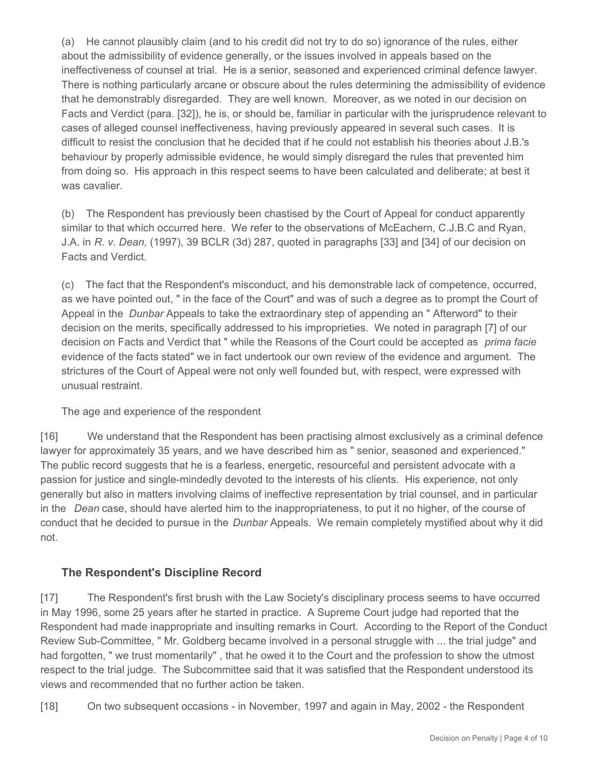(a) He cannot plausibly claim (and to his credit did not try to do so) ignorance of the rules, either about the admissibility of evidence generally, or the issues involved in appeals based on the ineffectiveness of counsel at trial. He is a senior, seasoned and experienced criminal defence lawyer. There is nothing particularly arcane or obscure about the rules determining the admissibility of evidence that he demonstrably disregarded. They are well known. Moreover, as we noted in our decision on Facts and Verdict (para. [32]), he is, or should be, familiar in particular with the jurisprudence relevant to cases of alleged counsel ineffectiveness, having previously appeared in several such cases. It is difficult to resist the conclusion that he decided that if he could not establish his theories about J.B.'s behaviour by properly admissible evidence, he would simply disregard the rules that prevented him from doing so. His approach in this respect seems to have been calculated and deliberate; at best it was cavalier.

(b) The Respondent has previously been chastised by the Court of Appeal for conduct apparently similar to that which occurred here. We refer to the observations of McEachern, C.J.B.C and Ryan, J.A. in *R. v. Dean,* (1997), 39 BCLR (3d) 287, quoted in paragraphs [33] and [34] of our decision on Facts and Verdict.

(c) The fact that the Respondent's misconduct, and his demonstrable lack of competence, occurred, as we have pointed out, " in the face of the Court" and was of such a degree as to prompt the Court of Appeal in the *Dunbar* Appeals to take the extraordinary step of appending an " Afterword" to their decision on the merits, specifically addressed to his improprieties. We noted in paragraph [7] of our decision on Facts and Verdict that " while the Reasons of the Court could be accepted as *prima facie*  evidence of the facts stated" we in fact undertook our own review of the evidence and argument. The strictures of the Court of Appeal were not only well founded but, with respect, were expressed with unusual restraint.

The age and experience of the respondent

[16] We understand that the Respondent has been practising almost exclusively as a criminal defence lawyer for approximately 35 years, and we have described him as " senior, seasoned and experienced." The public record suggests that he is a fearless, energetic, resourceful and persistent advocate with a passion for justice and single-mindedly devoted to the interests of his clients. His experience, not only generally but also in matters involving claims of ineffective representation by trial counsel, and in particular in the *Dean* case, should have alerted him to the inappropriateness, to put it no higher, of the course of conduct that he decided to pursue in the *Dunbar* Appeals. We remain completely mystified about why it did not.

#### **The Respondent's Discipline Record**

[17] The Respondent's first brush with the Law Society's disciplinary process seems to have occurred in May 1996, some 25 years after he started in practice. A Supreme Court judge had reported that the Respondent had made inappropriate and insulting remarks in Court. According to the Report of the Conduct Review Sub-Committee, " Mr. Goldberg became involved in a personal struggle with ... the trial judge" and had forgotten, " we trust momentarily" , that he owed it to the Court and the profession to show the utmost respect to the trial judge. The Subcommittee said that it was satisfied that the Respondent understood its views and recommended that no further action be taken.

[18] On two subsequent occasions - in November, 1997 and again in May, 2002 - the Respondent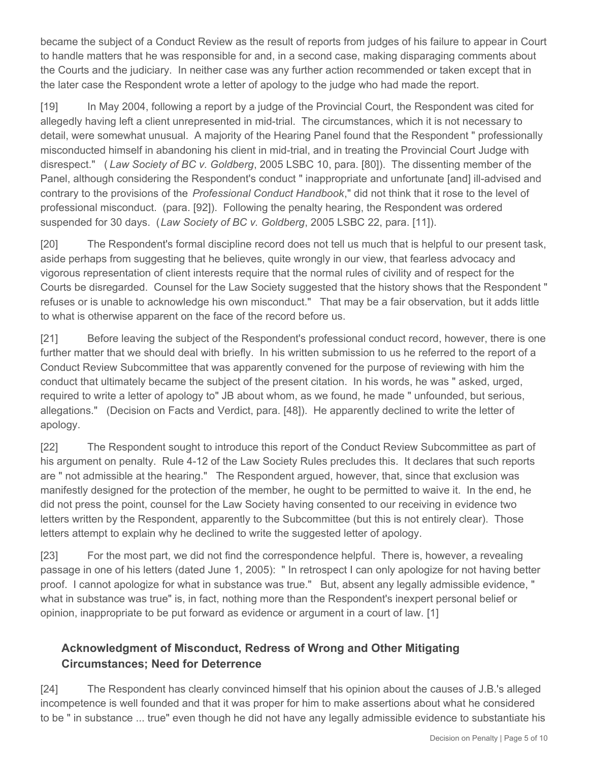became the subject of a Conduct Review as the result of reports from judges of his failure to appear in Court to handle matters that he was responsible for and, in a second case, making disparaging comments about the Courts and the judiciary. In neither case was any further action recommended or taken except that in the later case the Respondent wrote a letter of apology to the judge who had made the report.

[19] In May 2004, following a report by a judge of the Provincial Court, the Respondent was cited for allegedly having left a client unrepresented in mid-trial. The circumstances, which it is not necessary to detail, were somewhat unusual. A majority of the Hearing Panel found that the Respondent " professionally misconducted himself in abandoning his client in mid-trial, and in treating the Provincial Court Judge with disrespect." ( *Law Society of BC v. Goldberg*, 2005 LSBC 10, para. [80]). The dissenting member of the Panel, although considering the Respondent's conduct " inappropriate and unfortunate [and] ill-advised and contrary to the provisions of the *Professional Conduct Handbook*," did not think that it rose to the level of professional misconduct. (para. [92]). Following the penalty hearing, the Respondent was ordered suspended for 30 days. (*Law Society of BC v. Goldberg*, 2005 LSBC 22, para. [11]).

[20] The Respondent's formal discipline record does not tell us much that is helpful to our present task, aside perhaps from suggesting that he believes, quite wrongly in our view, that fearless advocacy and vigorous representation of client interests require that the normal rules of civility and of respect for the Courts be disregarded. Counsel for the Law Society suggested that the history shows that the Respondent " refuses or is unable to acknowledge his own misconduct." That may be a fair observation, but it adds little to what is otherwise apparent on the face of the record before us.

[21] Before leaving the subject of the Respondent's professional conduct record, however, there is one further matter that we should deal with briefly. In his written submission to us he referred to the report of a Conduct Review Subcommittee that was apparently convened for the purpose of reviewing with him the conduct that ultimately became the subject of the present citation. In his words, he was " asked, urged, required to write a letter of apology to" JB about whom, as we found, he made " unfounded, but serious, allegations." (Decision on Facts and Verdict, para. [48]). He apparently declined to write the letter of apology.

[22] The Respondent sought to introduce this report of the Conduct Review Subcommittee as part of his argument on penalty. Rule 4-12 of the Law Society Rules precludes this. It declares that such reports are " not admissible at the hearing." The Respondent argued, however, that, since that exclusion was manifestly designed for the protection of the member, he ought to be permitted to waive it. In the end, he did not press the point, counsel for the Law Society having consented to our receiving in evidence two letters written by the Respondent, apparently to the Subcommittee (but this is not entirely clear). Those letters attempt to explain why he declined to write the suggested letter of apology.

[23] For the most part, we did not find the correspondence helpful. There is, however, a revealing passage in one of his letters (dated June 1, 2005): " In retrospect I can only apologize for not having better proof. I cannot apologize for what in substance was true." But, absent any legally admissible evidence, " what in substance was true" is, in fact, nothing more than the Respondent's inexpert personal belief or opinion, inappropriate to be put forward as evidence or argument in a court of law. [1]

# **Acknowledgment of Misconduct, Redress of Wrong and Other Mitigating Circumstances; Need for Deterrence**

[24] The Respondent has clearly convinced himself that his opinion about the causes of J.B.'s alleged incompetence is well founded and that it was proper for him to make assertions about what he considered to be " in substance ... true" even though he did not have any legally admissible evidence to substantiate his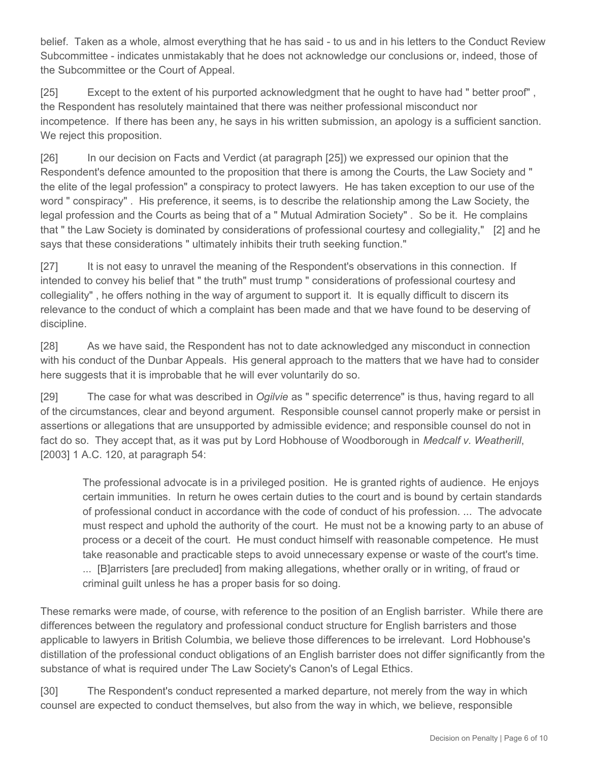belief. Taken as a whole, almost everything that he has said - to us and in his letters to the Conduct Review Subcommittee - indicates unmistakably that he does not acknowledge our conclusions or, indeed, those of the Subcommittee or the Court of Appeal.

[25] Except to the extent of his purported acknowledgment that he ought to have had " better proof" , the Respondent has resolutely maintained that there was neither professional misconduct nor incompetence. If there has been any, he says in his written submission, an apology is a sufficient sanction. We reject this proposition.

[26] In our decision on Facts and Verdict (at paragraph [25]) we expressed our opinion that the Respondent's defence amounted to the proposition that there is among the Courts, the Law Society and " the elite of the legal profession" a conspiracy to protect lawyers. He has taken exception to our use of the word " conspiracy" . His preference, it seems, is to describe the relationship among the Law Society, the legal profession and the Courts as being that of a " Mutual Admiration Society" . So be it. He complains that " the Law Society is dominated by considerations of professional courtesy and collegiality," [2] and he says that these considerations " ultimately inhibits their truth seeking function."

[27] It is not easy to unravel the meaning of the Respondent's observations in this connection. If intended to convey his belief that " the truth" must trump " considerations of professional courtesy and collegiality" , he offers nothing in the way of argument to support it. It is equally difficult to discern its relevance to the conduct of which a complaint has been made and that we have found to be deserving of discipline.

[28] As we have said, the Respondent has not to date acknowledged any misconduct in connection with his conduct of the Dunbar Appeals. His general approach to the matters that we have had to consider here suggests that it is improbable that he will ever voluntarily do so.

[29] The case for what was described in *Ogilvie* as " specific deterrence" is thus, having regard to all of the circumstances, clear and beyond argument. Responsible counsel cannot properly make or persist in assertions or allegations that are unsupported by admissible evidence; and responsible counsel do not in fact do so. They accept that, as it was put by Lord Hobhouse of Woodborough in *Medcalf v. Weatherill*, [2003] 1 A.C. 120, at paragraph 54:

The professional advocate is in a privileged position. He is granted rights of audience. He enjoys certain immunities. In return he owes certain duties to the court and is bound by certain standards of professional conduct in accordance with the code of conduct of his profession. ... The advocate must respect and uphold the authority of the court. He must not be a knowing party to an abuse of process or a deceit of the court. He must conduct himself with reasonable competence. He must take reasonable and practicable steps to avoid unnecessary expense or waste of the court's time. ... [B]arristers [are precluded] from making allegations, whether orally or in writing, of fraud or criminal guilt unless he has a proper basis for so doing.

These remarks were made, of course, with reference to the position of an English barrister. While there are differences between the regulatory and professional conduct structure for English barristers and those applicable to lawyers in British Columbia, we believe those differences to be irrelevant. Lord Hobhouse's distillation of the professional conduct obligations of an English barrister does not differ significantly from the substance of what is required under The Law Society's Canon's of Legal Ethics.

[30] The Respondent's conduct represented a marked departure, not merely from the way in which counsel are expected to conduct themselves, but also from the way in which, we believe, responsible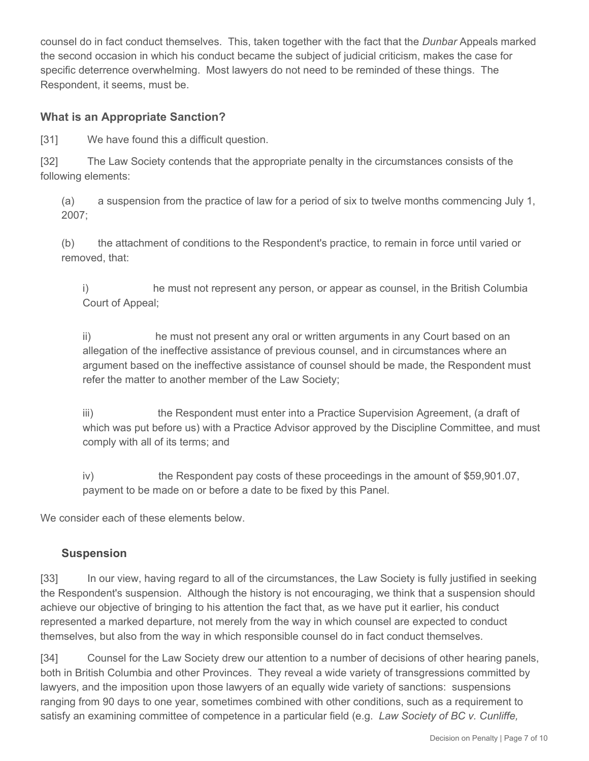counsel do in fact conduct themselves. This, taken together with the fact that the *Dunbar* Appeals marked the second occasion in which his conduct became the subject of judicial criticism, makes the case for specific deterrence overwhelming. Most lawyers do not need to be reminded of these things. The Respondent, it seems, must be.

#### **What is an Appropriate Sanction?**

[31] We have found this a difficult question.

[32] The Law Society contends that the appropriate penalty in the circumstances consists of the following elements:

(a) a suspension from the practice of law for a period of six to twelve months commencing July 1, 2007;

(b) the attachment of conditions to the Respondent's practice, to remain in force until varied or removed, that:

i) he must not represent any person, or appear as counsel, in the British Columbia Court of Appeal;

ii) he must not present any oral or written arguments in any Court based on an allegation of the ineffective assistance of previous counsel, and in circumstances where an argument based on the ineffective assistance of counsel should be made, the Respondent must refer the matter to another member of the Law Society;

iii) the Respondent must enter into a Practice Supervision Agreement, (a draft of which was put before us) with a Practice Advisor approved by the Discipline Committee, and must comply with all of its terms; and

iv) the Respondent pay costs of these proceedings in the amount of \$59,901.07, payment to be made on or before a date to be fixed by this Panel.

We consider each of these elements below.

#### **Suspension**

[33] In our view, having regard to all of the circumstances, the Law Society is fully justified in seeking the Respondent's suspension. Although the history is not encouraging, we think that a suspension should achieve our objective of bringing to his attention the fact that, as we have put it earlier, his conduct represented a marked departure, not merely from the way in which counsel are expected to conduct themselves, but also from the way in which responsible counsel do in fact conduct themselves.

[34] Counsel for the Law Society drew our attention to a number of decisions of other hearing panels, both in British Columbia and other Provinces. They reveal a wide variety of transgressions committed by lawyers, and the imposition upon those lawyers of an equally wide variety of sanctions: suspensions ranging from 90 days to one year, sometimes combined with other conditions, such as a requirement to satisfy an examining committee of competence in a particular field (e.g. *Law Society of BC v. Cunliffe,*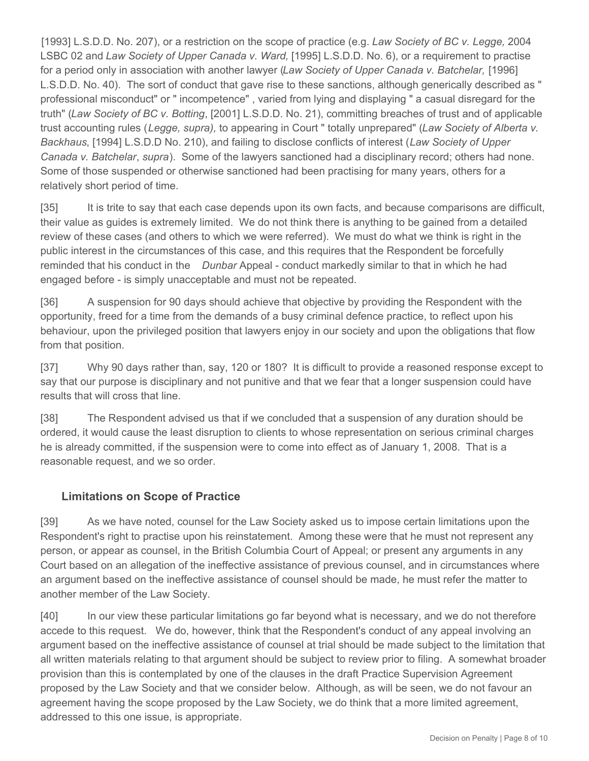[1993] L.S.D.D. No. 207), or a restriction on the scope of practice (e.g. *Law Society of BC v. Legge,* 2004 LSBC 02 and *Law Society of Upper Canada v. Ward,* [1995] L.S.D.D. No. 6), or a requirement to practise for a period only in association with another lawyer (*Law Society of Upper Canada v. Batchelar,* [1996] L.S.D.D. No. 40). The sort of conduct that gave rise to these sanctions, although generically described as " professional misconduct" or " incompetence" , varied from lying and displaying " a casual disregard for the truth" (*Law Society of BC v. Botting*, [2001] L.S.D.D. No. 21), committing breaches of trust and of applicable trust accounting rules (*Legge, supra),* to appearing in Court " totally unprepared" (*Law Society of Alberta v. Backhaus*, [1994] L.S.D.D No. 210), and failing to disclose conflicts of interest (*Law Society of Upper Canada v. Batchelar*, *supra*). Some of the lawyers sanctioned had a disciplinary record; others had none. Some of those suspended or otherwise sanctioned had been practising for many years, others for a relatively short period of time.

[35] It is trite to say that each case depends upon its own facts, and because comparisons are difficult, their value as guides is extremely limited. We do not think there is anything to be gained from a detailed review of these cases (and others to which we were referred). We must do what we think is right in the public interest in the circumstances of this case, and this requires that the Respondent be forcefully reminded that his conduct in the *Dunbar* Appeal - conduct markedly similar to that in which he had engaged before - is simply unacceptable and must not be repeated.

[36] A suspension for 90 days should achieve that objective by providing the Respondent with the opportunity, freed for a time from the demands of a busy criminal defence practice, to reflect upon his behaviour, upon the privileged position that lawyers enjoy in our society and upon the obligations that flow from that position.

[37] Why 90 days rather than, say, 120 or 180? It is difficult to provide a reasoned response except to say that our purpose is disciplinary and not punitive and that we fear that a longer suspension could have results that will cross that line.

[38] The Respondent advised us that if we concluded that a suspension of any duration should be ordered, it would cause the least disruption to clients to whose representation on serious criminal charges he is already committed, if the suspension were to come into effect as of January 1, 2008. That is a reasonable request, and we so order.

#### **Limitations on Scope of Practice**

[39] As we have noted, counsel for the Law Society asked us to impose certain limitations upon the Respondent's right to practise upon his reinstatement. Among these were that he must not represent any person, or appear as counsel, in the British Columbia Court of Appeal; or present any arguments in any Court based on an allegation of the ineffective assistance of previous counsel, and in circumstances where an argument based on the ineffective assistance of counsel should be made, he must refer the matter to another member of the Law Society.

[40] In our view these particular limitations go far beyond what is necessary, and we do not therefore accede to this request. We do, however, think that the Respondent's conduct of any appeal involving an argument based on the ineffective assistance of counsel at trial should be made subject to the limitation that all written materials relating to that argument should be subject to review prior to filing. A somewhat broader provision than this is contemplated by one of the clauses in the draft Practice Supervision Agreement proposed by the Law Society and that we consider below. Although, as will be seen, we do not favour an agreement having the scope proposed by the Law Society, we do think that a more limited agreement, addressed to this one issue, is appropriate.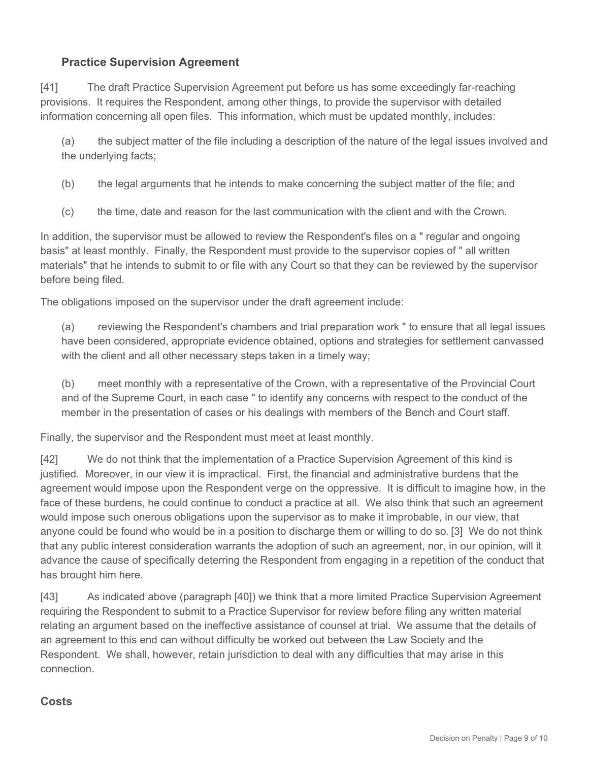## **Practice Supervision Agreement**

[41] The draft Practice Supervision Agreement put before us has some exceedingly far-reaching provisions. It requires the Respondent, among other things, to provide the supervisor with detailed information concerning all open files. This information, which must be updated monthly, includes:

(a) the subject matter of the file including a description of the nature of the legal issues involved and the underlying facts;

(b) the legal arguments that he intends to make concerning the subject matter of the file; and

(c) the time, date and reason for the last communication with the client and with the Crown.

In addition, the supervisor must be allowed to review the Respondent's files on a " regular and ongoing basis" at least monthly. Finally, the Respondent must provide to the supervisor copies of " all written materials" that he intends to submit to or file with any Court so that they can be reviewed by the supervisor before being filed.

The obligations imposed on the supervisor under the draft agreement include:

(a) reviewing the Respondent's chambers and trial preparation work " to ensure that all legal issues have been considered, appropriate evidence obtained, options and strategies for settlement canvassed with the client and all other necessary steps taken in a timely way;

(b) meet monthly with a representative of the Crown, with a representative of the Provincial Court and of the Supreme Court, in each case " to identify any concerns with respect to the conduct of the member in the presentation of cases or his dealings with members of the Bench and Court staff.

Finally, the supervisor and the Respondent must meet at least monthly.

[42] We do not think that the implementation of a Practice Supervision Agreement of this kind is justified. Moreover, in our view it is impractical. First, the financial and administrative burdens that the agreement would impose upon the Respondent verge on the oppressive. It is difficult to imagine how, in the face of these burdens, he could continue to conduct a practice at all. We also think that such an agreement would impose such onerous obligations upon the supervisor as to make it improbable, in our view, that anyone could be found who would be in a position to discharge them or willing to do so. [3] We do not think that any public interest consideration warrants the adoption of such an agreement, nor, in our opinion, will it advance the cause of specifically deterring the Respondent from engaging in a repetition of the conduct that has brought him here.

[43] As indicated above (paragraph [40]) we think that a more limited Practice Supervision Agreement requiring the Respondent to submit to a Practice Supervisor for review before filing any written material relating an argument based on the ineffective assistance of counsel at trial. We assume that the details of an agreement to this end can without difficulty be worked out between the Law Society and the Respondent. We shall, however, retain jurisdiction to deal with any difficulties that may arise in this connection.

#### **Costs**